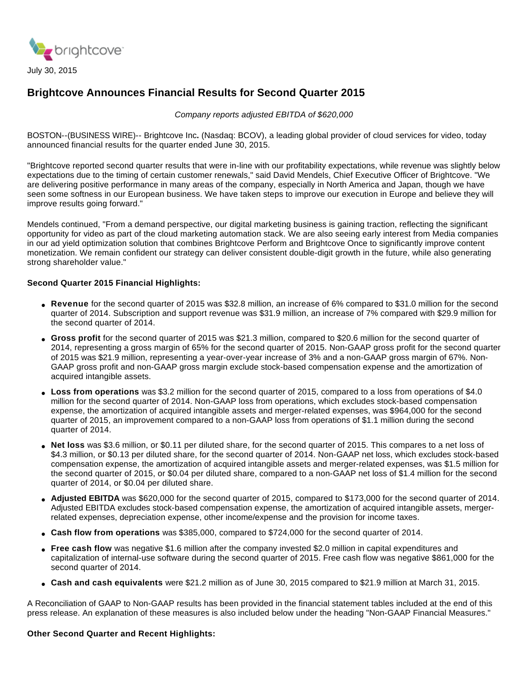

# **Brightcove Announces Financial Results for Second Quarter 2015**

Company reports adjusted EBITDA of \$620,000

BOSTON--(BUSINESS WIRE)-- Brightcove Inc**.** (Nasdaq: BCOV), a leading global provider of cloud services for video, today announced financial results for the quarter ended June 30, 2015.

"Brightcove reported second quarter results that were in-line with our profitability expectations, while revenue was slightly below expectations due to the timing of certain customer renewals," said David Mendels, Chief Executive Officer of Brightcove. "We are delivering positive performance in many areas of the company, especially in North America and Japan, though we have seen some softness in our European business. We have taken steps to improve our execution in Europe and believe they will improve results going forward."

Mendels continued, "From a demand perspective, our digital marketing business is gaining traction, reflecting the significant opportunity for video as part of the cloud marketing automation stack. We are also seeing early interest from Media companies in our ad yield optimization solution that combines Brightcove Perform and Brightcove Once to significantly improve content monetization. We remain confident our strategy can deliver consistent double-digit growth in the future, while also generating strong shareholder value."

## **Second Quarter 2015 Financial Highlights:**

- **Revenue** for the second quarter of 2015 was \$32.8 million, an increase of 6% compared to \$31.0 million for the second quarter of 2014. Subscription and support revenue was \$31.9 million, an increase of 7% compared with \$29.9 million for the second quarter of 2014.
- **Gross profit** for the second quarter of 2015 was \$21.3 million, compared to \$20.6 million for the second quarter of 2014, representing a gross margin of 65% for the second quarter of 2015. Non-GAAP gross profit for the second quarter of 2015 was \$21.9 million, representing a year-over-year increase of 3% and a non-GAAP gross margin of 67%. Non-GAAP gross profit and non-GAAP gross margin exclude stock-based compensation expense and the amortization of acquired intangible assets.
- **Loss from operations** was \$3.2 million for the second quarter of 2015, compared to a loss from operations of \$4.0 million for the second quarter of 2014. Non-GAAP loss from operations, which excludes stock-based compensation expense, the amortization of acquired intangible assets and merger-related expenses, was \$964,000 for the second quarter of 2015, an improvement compared to a non-GAAP loss from operations of \$1.1 million during the second quarter of 2014.
- **Net loss** was \$3.6 million, or \$0.11 per diluted share, for the second quarter of 2015. This compares to a net loss of \$4.3 million, or \$0.13 per diluted share, for the second quarter of 2014. Non-GAAP net loss, which excludes stock-based compensation expense, the amortization of acquired intangible assets and merger-related expenses, was \$1.5 million for the second quarter of 2015, or \$0.04 per diluted share, compared to a non-GAAP net loss of \$1.4 million for the second quarter of 2014, or \$0.04 per diluted share.
- Adjusted EBITDA was \$620,000 for the second quarter of 2015, compared to \$173,000 for the second quarter of 2014. Adjusted EBITDA excludes stock-based compensation expense, the amortization of acquired intangible assets, mergerrelated expenses, depreciation expense, other income/expense and the provision for income taxes.
- **Cash flow from operations** was \$385,000, compared to \$724,000 for the second quarter of 2014.
- **Free cash flow** was negative \$1.6 million after the company invested \$2.0 million in capital expenditures and capitalization of internal-use software during the second quarter of 2015. Free cash flow was negative \$861,000 for the second quarter of 2014.
- **Cash and cash equivalents** were \$21.2 million as of June 30, 2015 compared to \$21.9 million at March 31, 2015.

A Reconciliation of GAAP to Non-GAAP results has been provided in the financial statement tables included at the end of this press release. An explanation of these measures is also included below under the heading "Non-GAAP Financial Measures."

## **Other Second Quarter and Recent Highlights:**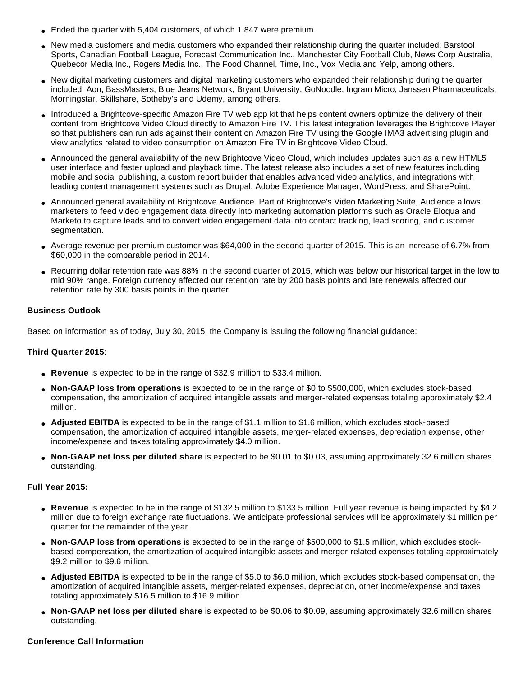- Ended the quarter with 5,404 customers, of which 1,847 were premium.
- New media customers and media customers who expanded their relationship during the quarter included: Barstool Sports, Canadian Football League, Forecast Communication Inc., Manchester City Football Club, News Corp Australia, Quebecor Media Inc., Rogers Media Inc., The Food Channel, Time, Inc., Vox Media and Yelp, among others.
- New digital marketing customers and digital marketing customers who expanded their relationship during the quarter included: Aon, BassMasters, Blue Jeans Network, Bryant University, GoNoodle, Ingram Micro, Janssen Pharmaceuticals, Morningstar, Skillshare, Sotheby's and Udemy, among others.
- Introduced a Brightcove-specific Amazon Fire TV web app kit that helps content owners optimize the delivery of their content from Brightcove Video Cloud directly to Amazon Fire TV. This latest integration leverages the Brightcove Player so that publishers can run ads against their content on Amazon Fire TV using the Google IMA3 advertising plugin and view analytics related to video consumption on Amazon Fire TV in Brightcove Video Cloud.
- Announced the general availability of the new Brightcove Video Cloud, which includes updates such as a new HTML5 user interface and faster upload and playback time. The latest release also includes a set of new features including mobile and social publishing, a custom report builder that enables advanced video analytics, and integrations with leading content management systems such as Drupal, Adobe Experience Manager, WordPress, and SharePoint.
- Announced general availability of Brightcove Audience. Part of Brightcove's Video Marketing Suite, Audience allows marketers to feed video engagement data directly into marketing automation platforms such as Oracle Eloqua and Marketo to capture leads and to convert video engagement data into contact tracking, lead scoring, and customer segmentation.
- Average revenue per premium customer was \$64,000 in the second quarter of 2015. This is an increase of 6.7% from \$60,000 in the comparable period in 2014.
- Recurring dollar retention rate was 88% in the second quarter of 2015, which was below our historical target in the low to mid 90% range. Foreign currency affected our retention rate by 200 basis points and late renewals affected our retention rate by 300 basis points in the quarter.

## **Business Outlook**

Based on information as of today, July 30, 2015, the Company is issuing the following financial guidance:

## **Third Quarter 2015**:

- **Revenue** is expected to be in the range of \$32.9 million to \$33.4 million.
- **Non-GAAP loss from operations** is expected to be in the range of \$0 to \$500,000, which excludes stock-based compensation, the amortization of acquired intangible assets and merger-related expenses totaling approximately \$2.4 million.
- Adjusted EBITDA is expected to be in the range of \$1.1 million to \$1.6 million, which excludes stock-based compensation, the amortization of acquired intangible assets, merger-related expenses, depreciation expense, other income/expense and taxes totaling approximately \$4.0 million.
- **Non-GAAP net loss per diluted share** is expected to be \$0.01 to \$0.03, assuming approximately 32.6 million shares outstanding.

## **Full Year 2015:**

- **Revenue** is expected to be in the range of \$132.5 million to \$133.5 million. Full year revenue is being impacted by \$4.2 million due to foreign exchange rate fluctuations. We anticipate professional services will be approximately \$1 million per quarter for the remainder of the year.
- **Non-GAAP loss from operations** is expected to be in the range of \$500,000 to \$1.5 million, which excludes stockbased compensation, the amortization of acquired intangible assets and merger-related expenses totaling approximately \$9.2 million to \$9.6 million.
- Adjusted EBITDA is expected to be in the range of \$5.0 to \$6.0 million, which excludes stock-based compensation, the amortization of acquired intangible assets, merger-related expenses, depreciation, other income/expense and taxes totaling approximately \$16.5 million to \$16.9 million.
- **Non-GAAP net loss per diluted share** is expected to be \$0.06 to \$0.09, assuming approximately 32.6 million shares outstanding.

## **Conference Call Information**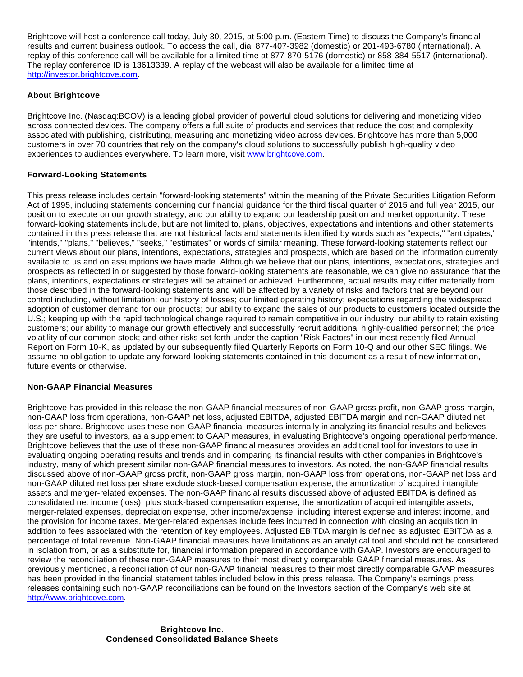Brightcove will host a conference call today, July 30, 2015, at 5:00 p.m. (Eastern Time) to discuss the Company's financial results and current business outlook. To access the call, dial 877-407-3982 (domestic) or 201-493-6780 (international). A replay of this conference call will be available for a limited time at 877-870-5176 (domestic) or 858-384-5517 (international). The replay conference ID is 13613339. A replay of the webcast will also be available for a limited time at [http://investor.brightcove.com.](http://cts.businesswire.com/ct/CT?id=smartlink&url=http%3A%2F%2Finvestor.brightcove.com&esheet=51153420&newsitemid=20150730006628&lan=en-US&anchor=http%3A%2F%2Finvestor.brightcove.com&index=1&md5=bb8936f44df5d5cfde9d0a84da5f02f6)

## **About Brightcove**

Brightcove Inc. (Nasdaq:BCOV) is a leading global provider of powerful cloud solutions for delivering and monetizing video across connected devices. The company offers a full suite of products and services that reduce the cost and complexity associated with publishing, distributing, measuring and monetizing video across devices. Brightcove has more than 5,000 customers in over 70 countries that rely on the company's cloud solutions to successfully publish high-quality video experiences to audiences everywhere. To learn more, visit [www.brightcove.com](http://cts.businesswire.com/ct/CT?id=smartlink&url=http%3A%2F%2Fwww.brightcove.com&esheet=51153420&newsitemid=20150730006628&lan=en-US&anchor=www.brightcove.com&index=2&md5=79d29d869416e79f69f486e0ec9f1efc).

## **Forward-Looking Statements**

This press release includes certain "forward-looking statements" within the meaning of the Private Securities Litigation Reform Act of 1995, including statements concerning our financial guidance for the third fiscal quarter of 2015 and full year 2015, our position to execute on our growth strategy, and our ability to expand our leadership position and market opportunity. These forward-looking statements include, but are not limited to, plans, objectives, expectations and intentions and other statements contained in this press release that are not historical facts and statements identified by words such as "expects," "anticipates," "intends," "plans," "believes," "seeks," "estimates" or words of similar meaning. These forward-looking statements reflect our current views about our plans, intentions, expectations, strategies and prospects, which are based on the information currently available to us and on assumptions we have made. Although we believe that our plans, intentions, expectations, strategies and prospects as reflected in or suggested by those forward-looking statements are reasonable, we can give no assurance that the plans, intentions, expectations or strategies will be attained or achieved. Furthermore, actual results may differ materially from those described in the forward-looking statements and will be affected by a variety of risks and factors that are beyond our control including, without limitation: our history of losses; our limited operating history; expectations regarding the widespread adoption of customer demand for our products; our ability to expand the sales of our products to customers located outside the U.S.; keeping up with the rapid technological change required to remain competitive in our industry; our ability to retain existing customers; our ability to manage our growth effectively and successfully recruit additional highly-qualified personnel; the price volatility of our common stock; and other risks set forth under the caption "Risk Factors" in our most recently filed Annual Report on Form 10-K, as updated by our subsequently filed Quarterly Reports on Form 10-Q and our other SEC filings. We assume no obligation to update any forward-looking statements contained in this document as a result of new information, future events or otherwise.

## **Non-GAAP Financial Measures**

Brightcove has provided in this release the non-GAAP financial measures of non-GAAP gross profit, non-GAAP gross margin, non-GAAP loss from operations, non-GAAP net loss, adjusted EBITDA, adjusted EBITDA margin and non-GAAP diluted net loss per share. Brightcove uses these non-GAAP financial measures internally in analyzing its financial results and believes they are useful to investors, as a supplement to GAAP measures, in evaluating Brightcove's ongoing operational performance. Brightcove believes that the use of these non-GAAP financial measures provides an additional tool for investors to use in evaluating ongoing operating results and trends and in comparing its financial results with other companies in Brightcove's industry, many of which present similar non-GAAP financial measures to investors. As noted, the non-GAAP financial results discussed above of non-GAAP gross profit, non-GAAP gross margin, non-GAAP loss from operations, non-GAAP net loss and non-GAAP diluted net loss per share exclude stock-based compensation expense, the amortization of acquired intangible assets and merger-related expenses. The non-GAAP financial results discussed above of adjusted EBITDA is defined as consolidated net income (loss), plus stock-based compensation expense, the amortization of acquired intangible assets, merger-related expenses, depreciation expense, other income/expense, including interest expense and interest income, and the provision for income taxes. Merger-related expenses include fees incurred in connection with closing an acquisition in addition to fees associated with the retention of key employees. Adjusted EBITDA margin is defined as adjusted EBITDA as a percentage of total revenue. Non-GAAP financial measures have limitations as an analytical tool and should not be considered in isolation from, or as a substitute for, financial information prepared in accordance with GAAP. Investors are encouraged to review the reconciliation of these non-GAAP measures to their most directly comparable GAAP financial measures. As previously mentioned, a reconciliation of our non-GAAP financial measures to their most directly comparable GAAP measures has been provided in the financial statement tables included below in this press release. The Company's earnings press releases containing such non-GAAP reconciliations can be found on the Investors section of the Company's web site at [http://www.brightcove.com](http://cts.businesswire.com/ct/CT?id=smartlink&url=http%3A%2F%2Fwww.brightcove.com&esheet=51153420&newsitemid=20150730006628&lan=en-US&anchor=http%3A%2F%2Fwww.brightcove.com&index=3&md5=fa656ab2a1dc8b9ca1dce8c94adf228e).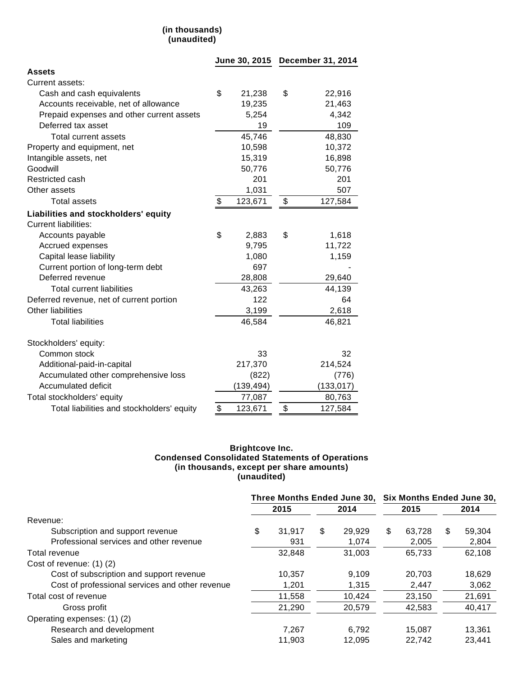## **(in thousands) (unaudited)**

|                                            | June 30, 2015 | <b>December 31, 2014</b> |
|--------------------------------------------|---------------|--------------------------|
| <b>Assets</b>                              |               |                          |
| Current assets:                            |               |                          |
| Cash and cash equivalents                  | \$<br>21,238  | \$<br>22,916             |
| Accounts receivable, net of allowance      | 19,235        | 21,463                   |
| Prepaid expenses and other current assets  | 5,254         | 4,342                    |
| Deferred tax asset                         | 19            | 109                      |
| Total current assets                       | 45,746        | 48,830                   |
| Property and equipment, net                | 10,598        | 10,372                   |
| Intangible assets, net                     | 15,319        | 16,898                   |
| Goodwill                                   | 50,776        | 50,776                   |
| Restricted cash                            | 201           | 201                      |
| Other assets                               | 1,031         | 507                      |
| <b>Total assets</b>                        | \$<br>123,671 | \$<br>127,584            |
| Liabilities and stockholders' equity       |               |                          |
| <b>Current liabilities:</b>                |               |                          |
| Accounts payable                           | \$<br>2,883   | \$<br>1,618              |
| Accrued expenses                           | 9,795         | 11,722                   |
| Capital lease liability                    | 1,080         | 1,159                    |
| Current portion of long-term debt          | 697           |                          |
| Deferred revenue                           | 28,808        | 29,640                   |
| <b>Total current liabilities</b>           | 43,263        | 44,139                   |
| Deferred revenue, net of current portion   | 122           | 64                       |
| Other liabilities                          | 3,199         | 2,618                    |
| <b>Total liabilities</b>                   | 46,584        | 46,821                   |
| Stockholders' equity:                      |               |                          |
| Common stock                               | 33            | 32                       |
| Additional-paid-in-capital                 | 217,370       | 214,524                  |
| Accumulated other comprehensive loss       | (822)         | (776)                    |
| Accumulated deficit                        | (139, 494)    | (133, 017)               |
| Total stockholders' equity                 | 77,087        | 80,763                   |
| Total liabilities and stockholders' equity | \$<br>123,671 | \$<br>127,584            |

#### **Brightcove Inc. Condensed Consolidated Statements of Operations (in thousands, except per share amounts) (unaudited)**

|                                                 | Three Months Ended June 30, |        |   | <b>Six Months Ended June 30,</b> |      |        |      |        |
|-------------------------------------------------|-----------------------------|--------|---|----------------------------------|------|--------|------|--------|
|                                                 |                             | 2015   |   | 2014                             | 2015 |        | 2014 |        |
| Revenue:                                        |                             |        |   |                                  |      |        |      |        |
| Subscription and support revenue                | \$                          | 31,917 | S | 29,929                           | \$   | 63,728 | S.   | 59,304 |
| Professional services and other revenue         |                             | 931    |   | 1.074                            |      | 2,005  |      | 2,804  |
| Total revenue                                   |                             | 32,848 |   | 31,003                           |      | 65.733 |      | 62,108 |
| Cost of revenue: (1) (2)                        |                             |        |   |                                  |      |        |      |        |
| Cost of subscription and support revenue        |                             | 10,357 |   | 9,109                            |      | 20,703 |      | 18,629 |
| Cost of professional services and other revenue |                             | 1,201  |   | 1,315                            |      | 2,447  |      | 3,062  |
| Total cost of revenue                           |                             | 11,558 |   | 10.424                           |      | 23,150 |      | 21,691 |
| Gross profit                                    |                             | 21,290 |   | 20,579                           |      | 42,583 |      | 40,417 |
| Operating expenses: (1) (2)                     |                             |        |   |                                  |      |        |      |        |
| Research and development                        |                             | 7.267  |   | 6.792                            |      | 15.087 |      | 13,361 |
| Sales and marketing                             |                             | 11.903 |   | 12.095                           |      | 22.742 |      | 23.441 |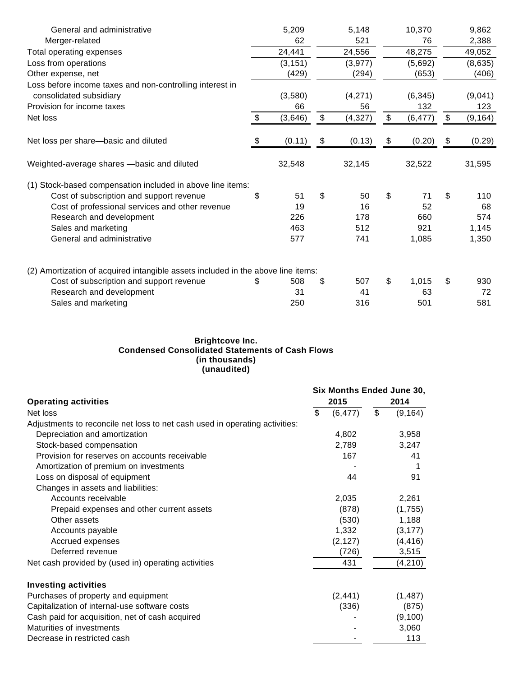| General and administrative                                                       |      | 5,209    |    | 5,148    |                | 10,370   |    | 9,862    |  |
|----------------------------------------------------------------------------------|------|----------|----|----------|----------------|----------|----|----------|--|
| Merger-related                                                                   |      | 62       |    | 521      |                | 76       |    | 2,388    |  |
| Total operating expenses                                                         |      | 24,441   |    | 24,556   |                | 48,275   |    | 49,052   |  |
| Loss from operations                                                             |      | (3, 151) |    | (3, 977) |                | (5,692)  |    | (8,635)  |  |
| Other expense, net                                                               |      | (429)    |    | (294)    |                | (653)    |    | (406)    |  |
| Loss before income taxes and non-controlling interest in                         |      |          |    |          |                |          |    |          |  |
| consolidated subsidiary                                                          |      | (3,580)  |    | (4,271)  |                | (6, 345) |    | (9,041)  |  |
| Provision for income taxes                                                       |      | 66       |    | 56       |                | 132      |    | 123      |  |
| Net loss                                                                         | \$   | (3,646)  | \$ | (4, 327) | \$             | (6, 477) | \$ | (9, 164) |  |
|                                                                                  |      |          |    |          |                |          |    |          |  |
| Net loss per share-basic and diluted                                             | - \$ | (0.11)   | \$ | (0.13)   | \$             | (0.20)   | \$ | (0.29)   |  |
| Weighted-average shares - basic and diluted                                      |      | 32,548   |    | 32,145   |                | 32,522   |    | 31,595   |  |
| (1) Stock-based compensation included in above line items:                       |      |          |    |          |                |          |    |          |  |
| Cost of subscription and support revenue                                         | \$   | 51       | \$ | 50       | \$             | 71       | \$ | 110      |  |
| Cost of professional services and other revenue                                  |      | 19       |    | 16       |                | 52       |    | 68       |  |
| Research and development                                                         |      | 226      |    | 178      |                | 660      |    | 574      |  |
| Sales and marketing                                                              |      | 463      |    | 512      |                | 921      |    | 1,145    |  |
| General and administrative                                                       |      | 577      |    | 741      |                | 1,085    |    | 1,350    |  |
| (2) Amortization of acquired intangible assets included in the above line items: |      |          |    |          |                |          |    |          |  |
| Cost of subscription and support revenue                                         | \$   | 508      | \$ | 507      | $\mathfrak{S}$ | 1,015    | \$ | 930      |  |
| Research and development                                                         |      | 31       |    | 41       |                | 63       |    | 72       |  |
| Sales and marketing                                                              |      | 250      |    | 316      |                | 501      |    | 581      |  |

## **Brightcove Inc. Condensed Consolidated Statements of Cash Flows (in thousands) (unaudited)**

|                                                                             | Six Months Ended June 30, |          |              |          |  |  |  |  |
|-----------------------------------------------------------------------------|---------------------------|----------|--------------|----------|--|--|--|--|
| <b>Operating activities</b>                                                 |                           | 2015     |              | 2014     |  |  |  |  |
| Net loss                                                                    | \$                        | (6, 477) | $\mathbb{S}$ | (9, 164) |  |  |  |  |
| Adjustments to reconcile net loss to net cash used in operating activities: |                           |          |              |          |  |  |  |  |
| Depreciation and amortization                                               |                           | 4,802    |              | 3,958    |  |  |  |  |
| Stock-based compensation                                                    |                           | 2,789    |              | 3,247    |  |  |  |  |
| Provision for reserves on accounts receivable                               |                           | 167      |              | 41       |  |  |  |  |
| Amortization of premium on investments                                      |                           |          |              |          |  |  |  |  |
| Loss on disposal of equipment                                               |                           | 44       |              | 91       |  |  |  |  |
| Changes in assets and liabilities:                                          |                           |          |              |          |  |  |  |  |
| Accounts receivable                                                         |                           | 2,035    |              | 2,261    |  |  |  |  |
| Prepaid expenses and other current assets                                   |                           | (878)    |              | (1,755)  |  |  |  |  |
| Other assets                                                                |                           | (530)    |              | 1,188    |  |  |  |  |
| Accounts payable                                                            |                           | 1,332    |              | (3, 177) |  |  |  |  |
| Accrued expenses                                                            |                           | (2, 127) |              | (4, 416) |  |  |  |  |
| Deferred revenue                                                            |                           | (726)    |              | 3,515    |  |  |  |  |
| Net cash provided by (used in) operating activities                         |                           | 431      |              | (4, 210) |  |  |  |  |
| <b>Investing activities</b>                                                 |                           |          |              |          |  |  |  |  |
| Purchases of property and equipment                                         |                           | (2, 441) |              | (1, 487) |  |  |  |  |
| Capitalization of internal-use software costs                               |                           | (336)    |              | (875)    |  |  |  |  |
| Cash paid for acquisition, net of cash acquired                             |                           |          |              | (9,100)  |  |  |  |  |
| Maturities of investments                                                   |                           |          |              | 3,060    |  |  |  |  |
| Decrease in restricted cash                                                 |                           |          |              | 113      |  |  |  |  |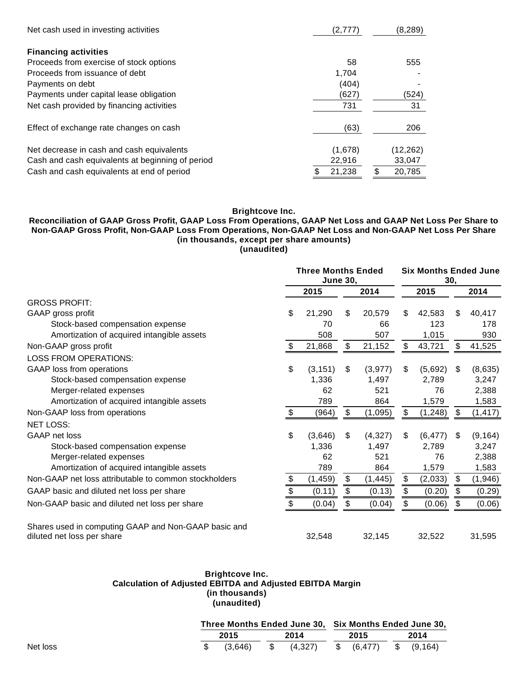| Net cash used in investing activities            | (2,777)      | (8, 289)     |
|--------------------------------------------------|--------------|--------------|
| <b>Financing activities</b>                      |              |              |
| Proceeds from exercise of stock options          | 58           | 555          |
| Proceeds from issuance of debt                   | 1,704        |              |
| Payments on debt                                 | (404)        |              |
| Payments under capital lease obligation          | (627)        | (524)        |
| Net cash provided by financing activities        | 731          | 31           |
| Effect of exchange rate changes on cash          | (63)         | 206          |
| Net decrease in cash and cash equivalents        | (1,678)      | (12,262)     |
| Cash and cash equivalents at beginning of period | 22,916       | 33,047       |
| Cash and cash equivalents at end of period       | \$<br>21,238 | \$<br>20,785 |

## **Brightcove Inc.**

## **Reconciliation of GAAP Gross Profit, GAAP Loss From Operations, GAAP Net Loss and GAAP Net Loss Per Share to Non-GAAP Gross Profit, Non-GAAP Loss From Operations, Non-GAAP Net Loss and Non-GAAP Net Loss Per Share (in thousands, except per share amounts)**

**(unaudited)**

|                                                       | <b>Three Months Ended</b><br><b>June 30,</b> |               |          |    | <b>Six Months Ended June</b> |    |          |
|-------------------------------------------------------|----------------------------------------------|---------------|----------|----|------------------------------|----|----------|
|                                                       | 2015                                         |               | 2014     |    | 2015                         |    | 2014     |
| <b>GROSS PROFIT:</b>                                  |                                              |               |          |    |                              |    |          |
| GAAP gross profit                                     | \$<br>21,290                                 | \$            | 20,579   | \$ | 42,583                       | S. | 40,417   |
| Stock-based compensation expense                      | 70                                           |               | 66       |    | 123                          |    | 178      |
| Amortization of acquired intangible assets            | 508                                          |               | 507      |    | 1,015                        |    | 930      |
| Non-GAAP gross profit                                 | \$<br>21,868                                 | \$            | 21,152   | \$ | 43,721                       | S  | 41,525   |
| <b>LOSS FROM OPERATIONS:</b>                          |                                              |               |          |    |                              |    |          |
| GAAP loss from operations                             | \$<br>(3, 151)                               | \$            | (3, 977) | \$ | (5,692)                      | \$ | (8,635)  |
| Stock-based compensation expense                      | 1,336                                        |               | 1,497    |    | 2,789                        |    | 3,247    |
| Merger-related expenses                               | 62                                           |               | 521      |    | 76                           |    | 2,388    |
| Amortization of acquired intangible assets            | 789                                          |               | 864      |    | 1,579                        |    | 1,583    |
| Non-GAAP loss from operations                         | \$<br>(964)                                  | \$            | (1,095)  | \$ | (1, 248)                     | -S | (1, 417) |
| <b>NET LOSS:</b>                                      |                                              |               |          |    |                              |    |          |
| GAAP net loss                                         | \$<br>(3,646)                                | \$            | (4, 327) | \$ | (6, 477)                     | -S | (9, 164) |
| Stock-based compensation expense                      | 1,336                                        |               | 1,497    |    | 2,789                        |    | 3,247    |
| Merger-related expenses                               | 62                                           |               | 521      |    | 76                           |    | 2,388    |
| Amortization of acquired intangible assets            | 789                                          |               | 864      |    | 1,579                        |    | 1,583    |
| Non-GAAP net loss attributable to common stockholders | \$<br>(1, 459)                               | $\frac{1}{2}$ | (1, 445) | \$ | (2,033)                      | \$ | (1,946)  |
| GAAP basic and diluted net loss per share             | \$<br>(0.11)                                 | \$            | (0.13)   | \$ | (0.20)                       | \$ | (0.29)   |
| Non-GAAP basic and diluted net loss per share         | (0.04)                                       | \$            | (0.04)   | \$ | (0.06)                       | \$ | (0.06)   |
| Shares used in computing GAAP and Non-GAAP basic and  |                                              |               |          |    |                              |    |          |
| diluted net loss per share                            | 32,548                                       |               | 32,145   |    | 32,522                       |    | 31,595   |

#### **Brightcove Inc. Calculation of Adjusted EBITDA and Adjusted EBITDA Margin (in thousands) (unaudited)**

|          |      |                                                                                         |        | Three Months Ended June 30, Six Months Ended June 30, |      |  |  |
|----------|------|-----------------------------------------------------------------------------------------|--------|-------------------------------------------------------|------|--|--|
|          | 2015 | 2014                                                                                    | - 2015 |                                                       | 2014 |  |  |
| Net loss |      | $\frac{1}{2}$ (3,646) $\frac{1}{2}$ (4,327) $\frac{1}{2}$ (6,477) $\frac{1}{2}$ (9,164) |        |                                                       |      |  |  |